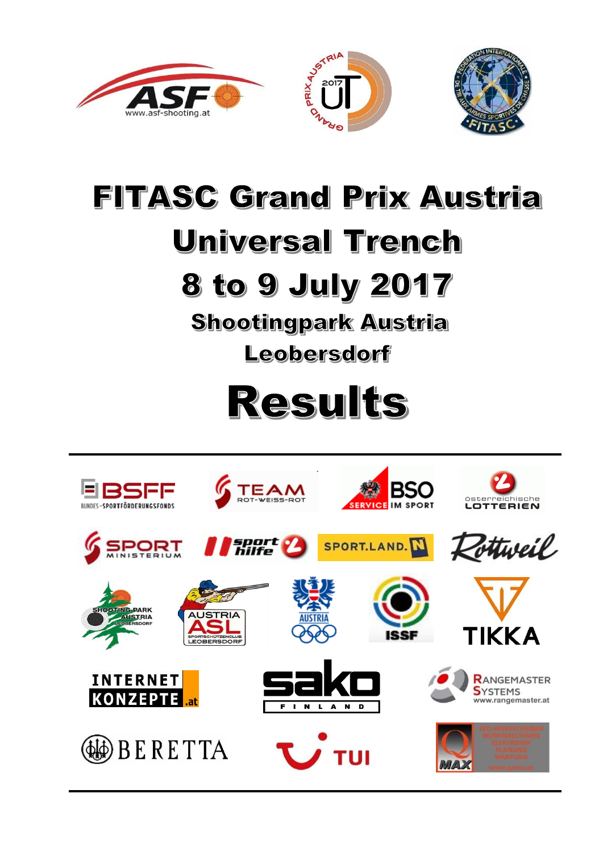





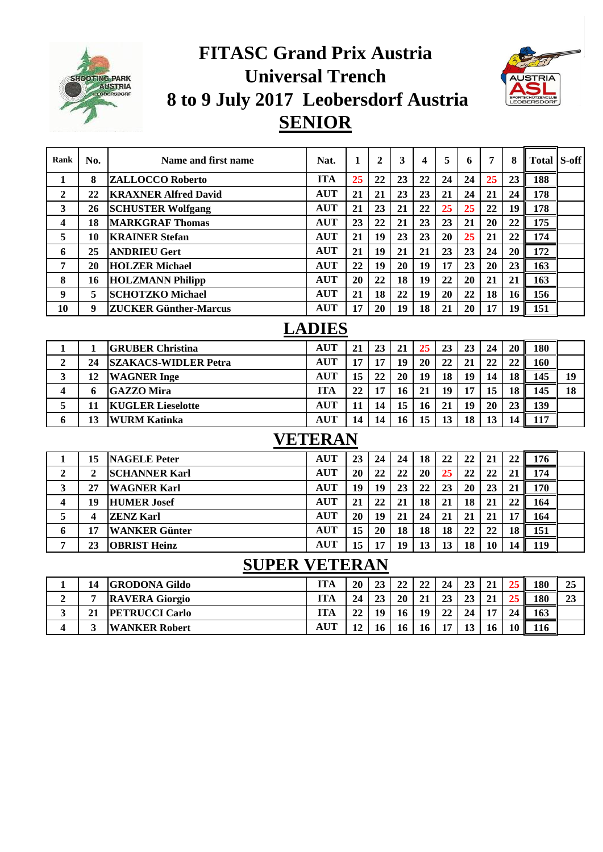

## **FITASC Grand Prix Austria Universal Trench 8 to 9 July 2017 Leobersdorf Austria SENIOR**



| Rank                 | No.                     | Name and first name          | Nat.       | 1  | $\mathbf{2}$ | 3  | 4  | 5  | 6  | 7  | 8  | <b>Total S-off</b> |    |
|----------------------|-------------------------|------------------------------|------------|----|--------------|----|----|----|----|----|----|--------------------|----|
| 1                    | 8                       | <b>ZALLOCCO Roberto</b>      | <b>ITA</b> | 25 | 22           | 23 | 22 | 24 | 24 | 25 | 23 | 188                |    |
| $\overline{2}$       | 22                      | <b>KRAXNER Alfred David</b>  | <b>AUT</b> | 21 | 21           | 23 | 23 | 21 | 24 | 21 | 24 | 178                |    |
| 3                    | 26                      | <b>SCHUSTER Wolfgang</b>     | <b>AUT</b> | 21 | 23           | 21 | 22 | 25 | 25 | 22 | 19 | 178                |    |
| 4                    | 18                      | <b>MARKGRAF Thomas</b>       | <b>AUT</b> | 23 | 22           | 21 | 23 | 23 | 21 | 20 | 22 | 175                |    |
| 5                    | 10                      | <b>KRAINER Stefan</b>        | <b>AUT</b> | 21 | 19           | 23 | 23 | 20 | 25 | 21 | 22 | 174                |    |
| 6                    | 25                      | <b>ANDRIEU Gert</b>          | <b>AUT</b> | 21 | 19           | 21 | 21 | 23 | 23 | 24 | 20 | 172                |    |
| 7                    | 20                      | <b>HOLZER Michael</b>        | <b>AUT</b> | 22 | 19           | 20 | 19 | 17 | 23 | 20 | 23 | 163                |    |
| 8                    | 16                      | <b>HOLZMANN Philipp</b>      | <b>AUT</b> | 20 | 22           | 18 | 19 | 22 | 20 | 21 | 21 | 163                |    |
| 9                    | 5                       | <b>SCHOTZKO Michael</b>      | <b>AUT</b> | 21 | 18           | 22 | 19 | 20 | 22 | 18 | 16 | 156                |    |
| 10                   | 9                       | <b>ZUCKER Günther-Marcus</b> | <b>AUT</b> | 17 | 20           | 19 | 18 | 21 | 20 | 17 | 19 | 151                |    |
| <b>LADIES</b>        |                         |                              |            |    |              |    |    |    |    |    |    |                    |    |
| $\mathbf{1}$         | $\mathbf{1}$            | <b>GRUBER Christina</b>      | <b>AUT</b> | 21 | 23           | 21 | 25 | 23 | 23 | 24 | 20 | 180                |    |
| $\overline{2}$       | 24                      | <b>SZAKACS-WIDLER Petra</b>  | <b>AUT</b> | 17 | 17           | 19 | 20 | 22 | 21 | 22 | 22 | 160                |    |
| 3                    | 12                      | <b>WAGNER</b> Inge           | <b>AUT</b> | 15 | 22           | 20 | 19 | 18 | 19 | 14 | 18 | 145                | 19 |
| 4                    | 6                       | <b>GAZZO Mira</b>            | <b>ITA</b> | 22 | 17           | 16 | 21 | 19 | 17 | 15 | 18 | 145                | 18 |
| 5                    | 11                      | <b>KUGLER Lieselotte</b>     | <b>AUT</b> | 11 | 14           | 15 | 16 | 21 | 19 | 20 | 23 | 139                |    |
| 6                    | 13                      | <b>WURM Katinka</b>          | <b>AUT</b> | 14 | 14           | 16 | 15 | 13 | 18 | 13 | 14 | 117                |    |
| <b>VETERAN</b>       |                         |                              |            |    |              |    |    |    |    |    |    |                    |    |
| 1                    | 15                      | <b>NAGELE Peter</b>          | <b>AUT</b> | 23 | 24           | 24 | 18 | 22 | 22 | 21 | 22 | 176                |    |
| $\overline{2}$       | $\overline{2}$          | <b>SCHANNER Karl</b>         | <b>AUT</b> | 20 | 22           | 22 | 20 | 25 | 22 | 22 | 21 | 174                |    |
| 3                    | 27                      | <b>WAGNER Karl</b>           | <b>AUT</b> | 19 | 19           | 23 | 22 | 23 | 20 | 23 | 21 | 170                |    |
| 4                    | 19                      | <b>HUMER Josef</b>           | <b>AUT</b> | 21 | 22           | 21 | 18 | 21 | 18 | 21 | 22 | 164                |    |
| 5                    | $\overline{\mathbf{4}}$ | <b>ZENZ Karl</b>             | <b>AUT</b> | 20 | 19           | 21 | 24 | 21 | 21 | 21 | 17 | 164                |    |
| 6                    | 17                      | <b>WANKER Günter</b>         | <b>AUT</b> | 15 | 20           | 18 | 18 | 18 | 22 | 22 | 18 | 151                |    |
| 7                    | 23                      | <b>OBRIST Heinz</b>          | <b>AUT</b> | 15 | 17           | 19 | 13 | 13 | 18 | 10 | 14 | 119                |    |
| <b>SUPER VETERAN</b> |                         |                              |            |    |              |    |    |    |    |    |    |                    |    |

## **SUPER VETERAN**

|        | <b>GRODONA Gildo</b>  | <b>ITA</b>                    | 20 | 23 | 22 | 22 | 24 | 23 | 21 |                | 180 | 25 |
|--------|-----------------------|-------------------------------|----|----|----|----|----|----|----|----------------|-----|----|
|        | <b>RAVERA Giorgio</b> | ITA                           | 24 | 23 | 20 | 21 | 23 | 23 | 21 |                | 180 | 23 |
| <br>21 | <b>PETRUCCI Carlo</b> | ITA                           | 22 | 19 | 16 | 19 | 22 | 24 | 17 | 2 <sub>4</sub> | 163 |    |
|        | <b>WANKER Robert</b>  | $\mathbf{A}\mathbf{U}^{\tau}$ |    | 16 | 16 | 16 |    |    |    |                | 116 |    |